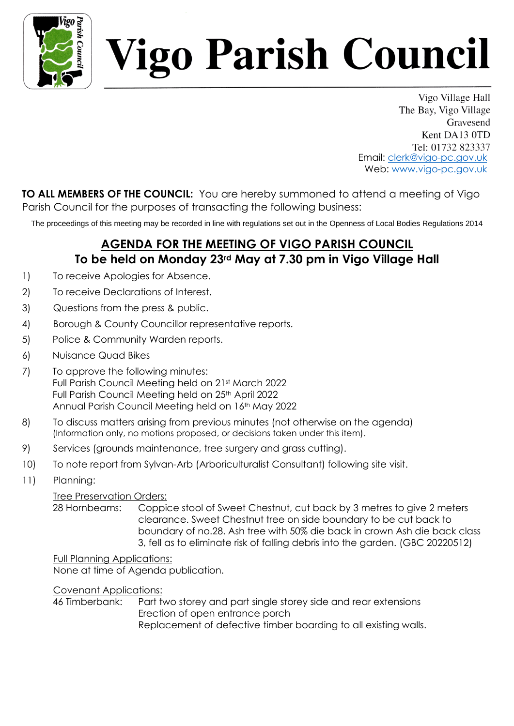

# *Vigo Parish Council*

Vigo Village Hall The Bay, Vigo Village Gravesend Kent DA13 0TD Tel: 01732 823337 Email: clerk@vigo-pc.gov.uk Web: www.vigo-pc.gov.uk

**TO ALL MEMBERS OF THE COUNCIL:** You are hereby summoned to attend a meeting of Vigo Parish Council for the purposes of transacting the following business:

The proceedings of this meeting may be recorded in line with regulations set out in the Openness of Local Bodies Regulations 2014

## **AGENDA FOR THE MEETING OF VIGO PARISH COUNCIL To be held on Monday 23rd May at 7.30 pm in Vigo Village Hall**

- 1) To receive Apologies for Absence.
- 2) To receive Declarations of Interest.
- 3) Questions from the press & public.
- 4) Borough & County Councillor representative reports.
- 5) Police & Community Warden reports.
- 6) Nuisance Quad Bikes
- 7) To approve the following minutes: Full Parish Council Meeting held on 21st March 2022 Full Parish Council Meeting held on 25<sup>th</sup> April 2022 Annual Parish Council Meeting held on 16<sup>th</sup> May 2022
- 8) To discuss matters arising from previous minutes (not otherwise on the agenda) (Information only, no motions proposed, or decisions taken under this item).
- 9) Services (grounds maintenance, tree surgery and grass cutting).
- 10) To note report from Sylvan-Arb (Arboriculturalist Consultant) following site visit.
- 11) Planning:

#### Tree Preservation Orders:

28 Hornbeams: Coppice stool of Sweet Chestnut, cut back by 3 metres to give 2 meters clearance. Sweet Chestnut tree on side boundary to be cut back to boundary of no.28. Ash tree with 50% die back in crown Ash die back class 3, fell as to eliminate risk of falling debris into the garden. (GBC 20220512)

Full Planning Applications: None at time of Agenda publication.

Covenant Applications:

46 Timberbank: Part two storey and part single storey side and rear extensions Erection of open entrance porch Replacement of defective timber boarding to all existing walls.